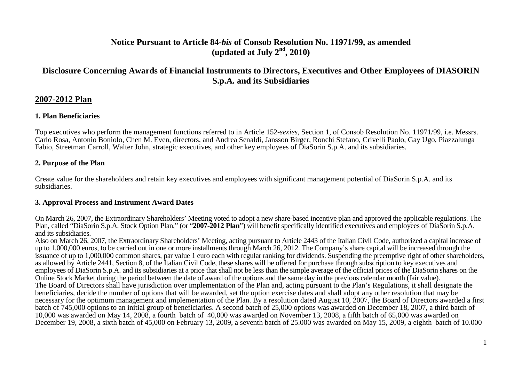## **Notice Pursuant to Article 84-***bis* **of Consob Resolution No. 11971/99, as amended**  $(\text{undated at July } 2^{\text{nd}}, 2010)$

# **Disclosure Concerning Awards of Financial Instruments to Directors, Executives and Other Employees of DIASORINS.p.A. and its Subsidiaries**

## **2007-2012 Plan**

#### **1. Plan Beneficiaries**

Top executives who perform the management functions referred to in Article 152-*sexies*, Section 1, of Consob Resolution No. 11971/99, i.e. Messrs. Carlo Rosa, Antonio Boniolo, Chen M. Even, directors, and Andrea Senaldi, Jansson Birger, Ronchi Stefano, Crivelli Paolo, Gay Ugo, Piazzalunga Fabio, Streetman Carroll, Walter John, strategic executives, and other key employees of DiaSorin S.p.A. and its subsidiaries.

## **2. Purpose of the Plan**

Create value for the shareholders and retain key executives and employees with significant management potential of DiaSorin S.p.A. and its subsidiaries.

## **3. Approval Process and Instrument Award Dates**

On March 26, 2007, the Extraordinary Shareholders' Meeting voted to adopt a new share-based incentive plan and approved the applicable regulations. The Plan, called "DiaSorin S.p.A. Stock Option Plan," (or "**2007-2012 Plan**") will benefit specifically identified executives and employees of DiaSorin S.p.A. and its subsidiaries.

 Also on March 26, 2007, the Extraordinary Shareholders' Meeting, acting pursuant to Article 2443 of the Italian Civil Code, authorized a capital increase of up to 1,000,000 euros, to be carried out in one or more installments through March 26, 2012. The Company's share capital will be increased through the issuance of up to 1,000,000 common shares, par value 1 euro each with regular ranking for dividends. Suspending the preemptive right of other shareholders, as allowed by Article 2441, Section 8, of the Italian Civil Code, these shares will be offered for purchase through subscription to key executives and employees of DiaSorin S.p.A. and its subsidiaries at a price that shall not be less than the simple average of the official prices of the DiaSorin shares on the Online Stock Market during the period between the date of award of the options and the same day in the previous calendar month (fair value). The Board of Directors shall have jurisdiction over implementation of the Plan and, acting pursuant to the Plan's Regulations, it shall designate the beneficiaries, decide the number of options that will be awarded, set the option exercise dates and shall adopt any other resolution that may be necessary for the optimum management and implementation of the Plan. By a resolution dated August 10, 2007, the Board of Directors awarded a first batch of 745,000 options to an initial group of beneficiaries. A second batch of 25,000 options was awarded on December 18, 2007, a third batch of 10,000 was awarded on May 14, 2008, a fourth batch of 40,000 was awarded on November 13, 2008, a fifth batch of 65,000 was awarded on December 19, 2008, a sixth batch of 45,000 on February 13, 2009, a seventh batch of 25.000 was awarded on May 15, 2009, a eighth batch of 10.000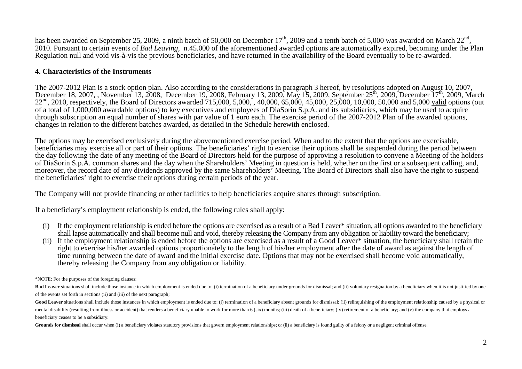has been awarded on September 25, 2009, a ninth batch of 50,000 on December  $17<sup>th</sup>$ , 2009 and a tenth batch of 5,000 was awarded on March  $22<sup>nd</sup>$ , 2010. Pursuant to certain events of *Bad Leaving,* n.45.000 of the aforementioned awarded options are automatically expired, becoming under the Plan Regulation null and void vis-à-vis the previous beneficiaries, and have returned in the availability of the Board eventually to be re-awarded.

#### **4. Characteristics of the Instruments**

The 2007-2012 Plan is a stock option plan. Also according to the considerations in paragraph 3 hereof, by resolutions adopted on August 10, 2007, December 18, 2007, , November 13, 2008, December 19, 2008, February 13, 2009, May 15, 2009, September 25<sup>th</sup>, 2009, December 17<sup>th</sup>, 2009, March  $22<sup>nd</sup>$ , 2010, respectively, the Board of Directors awarded 715,000, 5,000, 40,000, 65,000, 45,000, 25,000, 10,000, 50,000 and 5,000 valid options (out of a total of 1,000,000 awardable options) to key executives and employees of DiaSorin S.p.A. and its subsidiaries, which may be used to acquire through subscription an equal number of shares with par value of 1 euro each. The exercise period of the 2007-2012 Plan of the awarded options, changes in relation to the different batches awarded, as detailed in the Schedule herewith enclosed.

The options may be exercised exclusively during the abovementioned exercise period. When and to the extent that the options are exercisable, beneficiaries may exercise all or part of their options. The beneficiaries' right to exercise their options shall be suspended during the period between the day following the date of any meeting of the Board of Directors held for the purpose of approving a resolution to convene a Meeting of the holders of DiaSorin S.p.A. common shares and the day when the Shareholders' Meeting in question is held, whether on the first or a subsequent calling, and, moreover, the record date of any dividends approved by the same Shareholders' Meeting. The Board of Directors shall also have the right to suspend the beneficiaries' right to exercise their options during certain periods of the year.

The Company will not provide financing or other facilities to help beneficiaries acquire shares through subscription.

If a beneficiary's employment relationship is ended, the following rules shall apply:

- (i) If the employment relationship is ended before the options are exercised as a result of a Bad Leaver\* situation, all options awarded to the beneficiary shall lapse automatically and shall become null and void, thereby releasing the Company from any obligation or liability toward the beneficiary;
- (ii) If the employment relationship is ended before the options are exercised as a result of a Good Leaver\* situation, the beneficiary shall retain the right to exercise his/her awarded options proportionately to the length of his/her employment after the date of award as against the length of time running between the date of award and the initial exercise date. Options that may not be exercised shall become void automatically, thereby releasing the Company from any obligation or liability.

\*NOTE: For the purposes of the foregoing clauses:

Bad Leaver situations shall include those instance in which employment is ended due to: (i) termination of a beneficiary under grounds for dismissal; and (ii) voluntary resignation by a beneficiary when it is not justified of the events set forth in sections (ii) and (iii) of the next paragraph;

Good Leaver situations shall include those instances in which employment is ended due to: (i) termination of a beneficiary absent grounds for dismissal; (ii) relinquishing of the employment relationship caused by a physica mental disability (resulting from illness or accident) that renders a beneficiary unable to work for more than 6 (six) months; (iii) death of a beneficiary; (iv) retirement of a beneficiary; and (v) the company that employ beneficiary ceases to be a subsidiary.

Grounds for dismissal shall occur when (i) a beneficiary violates statutory provisions that govern employment relationships; or (ii) a beneficiary is found guilty of a felony or a negligent criminal offense.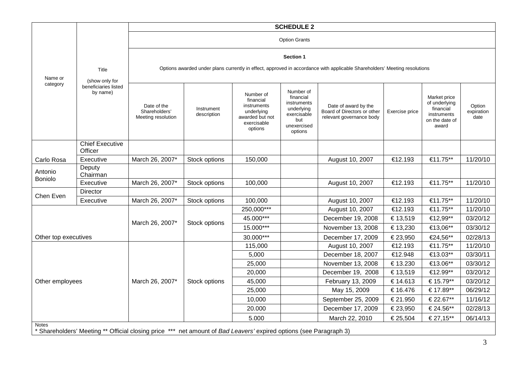| Name or<br>category                                                                                                                | Title<br>(show only for<br>beneficiaries listed<br>by name) | <b>SCHEDULE 2</b>                                                                                                                             |                                   |            |  |                    |          |           |          |
|------------------------------------------------------------------------------------------------------------------------------------|-------------------------------------------------------------|-----------------------------------------------------------------------------------------------------------------------------------------------|-----------------------------------|------------|--|--------------------|----------|-----------|----------|
|                                                                                                                                    |                                                             | <b>Option Grants</b>                                                                                                                          |                                   |            |  |                    |          |           |          |
|                                                                                                                                    |                                                             | <b>Section 1</b><br>Options awarded under plans currently in effect, approved in accordance with applicable Shareholders' Meeting resolutions |                                   |            |  |                    |          |           |          |
|                                                                                                                                    |                                                             |                                                                                                                                               |                                   |            |  |                    |          |           |          |
|                                                                                                                                    |                                                             |                                                                                                                                               | <b>Chief Executive</b><br>Officer |            |  |                    |          |           |          |
| Carlo Rosa                                                                                                                         | Executive                                                   | March 26, 2007*                                                                                                                               | Stock options                     | 150,000    |  | August 10, 2007    | €12.193  | €11.75**  | 11/20/10 |
| Antonio<br>Boniolo                                                                                                                 | Deputy<br>Chairman                                          |                                                                                                                                               |                                   |            |  |                    |          |           |          |
|                                                                                                                                    | Executive                                                   | March 26, 2007*                                                                                                                               | Stock options                     | 100,000    |  | August 10, 2007    | €12.193  | €11.75**  | 11/20/10 |
| Chen Even                                                                                                                          | <b>Director</b>                                             |                                                                                                                                               |                                   |            |  |                    |          |           |          |
|                                                                                                                                    | Executive                                                   | March 26, 2007*                                                                                                                               | Stock options                     | 100,000    |  | August 10, 2007    | €12.193  | €11.75**  | 11/20/10 |
| Other top executives                                                                                                               |                                                             | March 26, 2007*                                                                                                                               | Stock options                     | 250,000*** |  | August 10, 2007    | €12.193  | €11.75**  | 11/20/10 |
|                                                                                                                                    |                                                             |                                                                                                                                               |                                   | 45.000***  |  | December 19, 2008  | € 13,519 | €12,99**  | 03/20/12 |
|                                                                                                                                    |                                                             |                                                                                                                                               |                                   | 15.000***  |  | November 13, 2008  | € 13,230 | €13,06**  | 03/30/12 |
|                                                                                                                                    |                                                             |                                                                                                                                               |                                   | 30.000***  |  | December 17, 2009  | € 23,950 | €24,56**  | 02/28/13 |
| Other employees                                                                                                                    |                                                             | March 26, 2007*                                                                                                                               | Stock options                     | 115,000    |  | August 10, 2007    | €12.193  | €11.75**  | 11/20/10 |
|                                                                                                                                    |                                                             |                                                                                                                                               |                                   | 5,000      |  | December 18, 2007  | €12.948  | €13.03**  | 03/30/11 |
|                                                                                                                                    |                                                             |                                                                                                                                               |                                   | 25,000     |  | November 13, 2008  | € 13.230 | €13.06**  | 03/30/12 |
|                                                                                                                                    |                                                             |                                                                                                                                               |                                   | 20,000     |  | December 19, 2008  | € 13,519 | €12.99**  | 03/20/12 |
|                                                                                                                                    |                                                             |                                                                                                                                               |                                   | 45,000     |  | February 13, 2009  | € 14.613 | € 15.79** | 03/20/12 |
|                                                                                                                                    |                                                             |                                                                                                                                               |                                   | 25,000     |  | May 15, 2009       | € 16.476 | € 17.89** | 06/29/12 |
|                                                                                                                                    |                                                             |                                                                                                                                               |                                   | 10,000     |  | September 25, 2009 | € 21.950 | € 22.67** | 11/16/12 |
|                                                                                                                                    |                                                             |                                                                                                                                               |                                   | 20.000     |  | December 17, 2009  | € 23,950 | € 24.56** | 02/28/13 |
|                                                                                                                                    |                                                             |                                                                                                                                               |                                   | 5.000      |  | March 22, 2010     | € 25,504 | € 27,15** | 06/14/13 |
| <b>Notes</b><br>* Shareholders' Meeting ** Official closing price *** net amount of Bad Leavers' expired options (see Paragraph 3) |                                                             |                                                                                                                                               |                                   |            |  |                    |          |           |          |